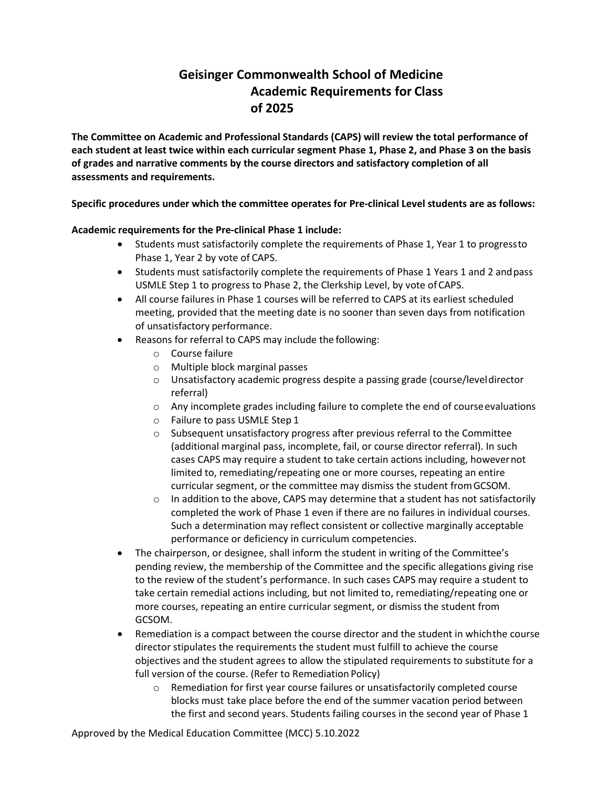## **Geisinger Commonwealth School of Medicine Academic Requirements for Class of 2025**

**The Committee on Academic and Professional Standards (CAPS) will review the total performance of each student at least twice within each curricular segment Phase 1, Phase 2, and Phase 3 on the basis of grades and narrative comments by the course directors and satisfactory completion of all assessments and requirements.**

**Specific procedures under which the committee operates for Pre-clinical Level students are as follows:** 

## **Academic requirements for the Pre-clinical Phase 1 include:**

- Students must satisfactorily complete the requirements of Phase 1, Year 1 to progressto Phase 1, Year 2 by vote of CAPS.
- Students must satisfactorily complete the requirements of Phase 1 Years 1 and 2 andpass USMLE Step 1 to progress to Phase 2, the Clerkship Level, by vote of CAPS.
- All course failures in Phase 1 courses will be referred to CAPS at its earliest scheduled meeting, provided that the meeting date is no sooner than seven days from notification of unsatisfactory performance.
- Reasons for referral to CAPS may include the following:
	- o Course failure
	- o Multiple block marginal passes
	- o Unsatisfactory academic progress despite a passing grade (course/leveldirector referral)
	- $\circ$  Any incomplete grades including failure to complete the end of course evaluations
	- o Failure to pass USMLE Step 1
	- $\circ$  Subsequent unsatisfactory progress after previous referral to the Committee (additional marginal pass, incomplete, fail, or course director referral). In such cases CAPS may require a student to take certain actions including, howevernot limited to, remediating/repeating one or more courses, repeating an entire curricular segment, or the committee may dismiss the student fromGCSOM.
	- $\circ$  In addition to the above, CAPS may determine that a student has not satisfactorily completed the work of Phase 1 even if there are no failures in individual courses. Such a determination may reflect consistent or collective marginally acceptable performance or deficiency in curriculum competencies.
- The chairperson, or designee, shall inform the student in writing of the Committee's pending review, the membership of the Committee and the specific allegations giving rise to the review of the student's performance. In such cases CAPS may require a student to take certain remedial actions including, but not limited to, remediating/repeating one or more courses, repeating an entire curricular segment, or dismiss the student from GCSOM.
- Remediation is a compact between the course director and the student in whichthe course director stipulates the requirements the student must fulfill to achieve the course objectives and the student agrees to allow the stipulated requirements to substitute for a full version of the course. (Refer to Remediation Policy)
	- o Remediation for first year course failures or unsatisfactorily completed course blocks must take place before the end of the summer vacation period between the first and second years. Students failing courses in the second year of Phase 1

Approved by the Medical Education Committee (MCC) 5.10.2022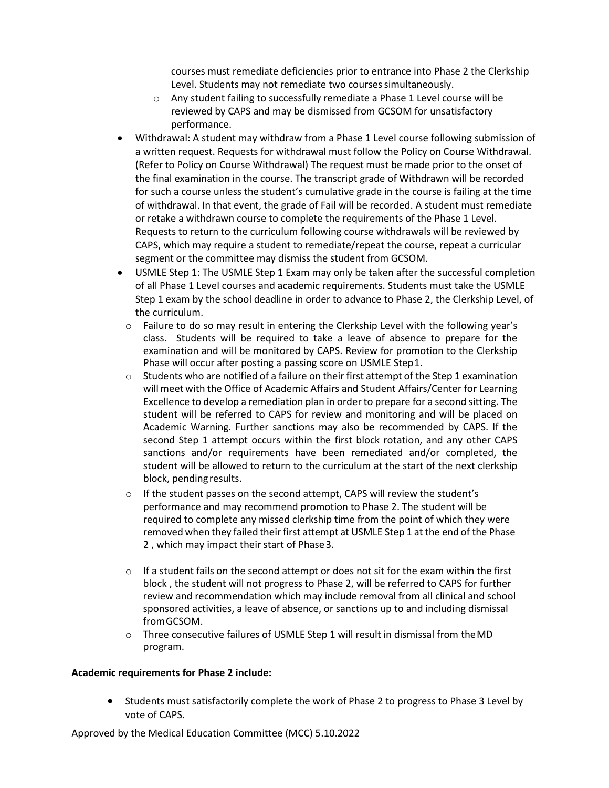courses must remediate deficiencies prior to entrance into Phase 2 the Clerkship Level. Students may not remediate two courses simultaneously.

- o Any student failing to successfully remediate a Phase 1 Level course will be reviewed by CAPS and may be dismissed from GCSOM for unsatisfactory performance.
- Withdrawal: A student may withdraw from a Phase 1 Level course following submission of a written request. Requests for withdrawal must follow the Policy on Course Withdrawal. (Refer to Policy on Course Withdrawal) The request must be made prior to the onset of the final examination in the course. The transcript grade of Withdrawn will be recorded for such a course unless the student's cumulative grade in the course is failing at the time of withdrawal. In that event, the grade of Fail will be recorded. A student must remediate or retake a withdrawn course to complete the requirements of the Phase 1 Level. Requests to return to the curriculum following course withdrawals will be reviewed by CAPS, which may require a student to remediate/repeat the course, repeat a curricular segment or the committee may dismiss the student from GCSOM.
- USMLE Step 1: The USMLE Step 1 Exam may only be taken after the successful completion of all Phase 1 Level courses and academic requirements. Students must take the USMLE Step 1 exam by the school deadline in order to advance to Phase 2, the Clerkship Level, of the curriculum.
	- $\circ$  Failure to do so may result in entering the Clerkship Level with the following year's class. Students will be required to take a leave of absence to prepare for the examination and will be monitored by CAPS. Review for promotion to the Clerkship Phase will occur after posting a passing score on USMLE Step1.
	- $\circ$  Students who are notified of a failure on their first attempt of the Step 1 examination will meet with the Office of Academic Affairs and Student Affairs/Center for Learning Excellence to develop a remediation plan in order to prepare for a second sitting. The student will be referred to CAPS for review and monitoring and will be placed on Academic Warning. Further sanctions may also be recommended by CAPS. If the second Step 1 attempt occurs within the first block rotation, and any other CAPS sanctions and/or requirements have been remediated and/or completed, the student will be allowed to return to the curriculum at the start of the next clerkship block, pendingresults.
	- $\circ$  If the student passes on the second attempt, CAPS will review the student's performance and may recommend promotion to Phase 2. The student will be required to complete any missed clerkship time from the point of which they were removed when they failed their first attempt at USMLE Step 1 at the end of the Phase 2 , which may impact their start of Phase3.
	- $\circ$  If a student fails on the second attempt or does not sit for the exam within the first block , the student will not progress to Phase 2, will be referred to CAPS for further review and recommendation which may include removal from all clinical and school sponsored activities, a leave of absence, or sanctions up to and including dismissal fromGCSOM.
	- o Three consecutive failures of USMLE Step 1 will result in dismissal from theMD program.

## **Academic requirements for Phase 2 include:**

• Students must satisfactorily complete the work of Phase 2 to progress to Phase 3 Level by vote of CAPS.

Approved by the Medical Education Committee (MCC) 5.10.2022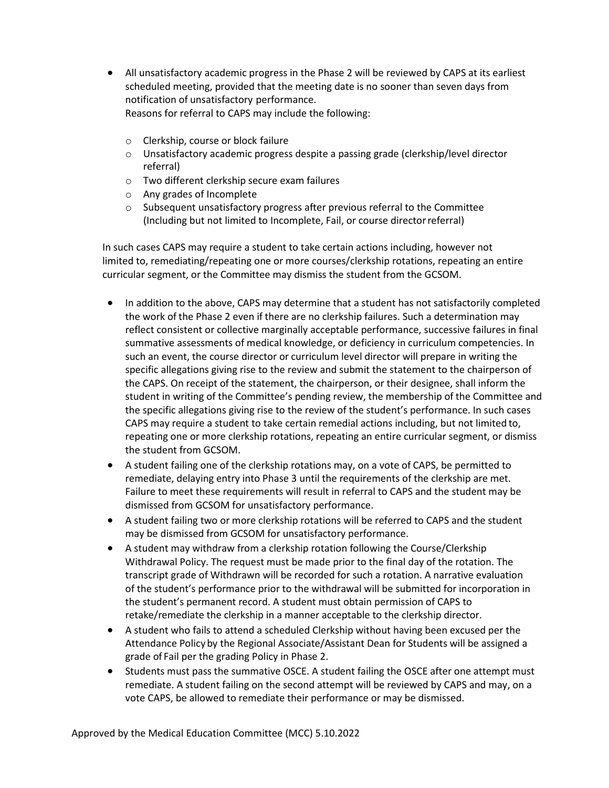- All unsatisfactory academic progress in the Phase 2 will be reviewed by CAPS at its earliest scheduled meeting, provided that the meeting date is no sooner than seven days from notification of unsatisfactory performance. Reasons for referral to CAPS may include the following:
	- o Clerkship, course or block failure
	- $\circ$  Unsatisfactory academic progress despite a passing grade (clerkship/level director referral)
	- o Two different clerkship secure exam failures
	- o Any grades of Incomplete
	- o Subsequent unsatisfactory progress after previous referral to the Committee (Including but not limited to Incomplete, Fail, or course directorreferral)

In such cases CAPS may require a student to take certain actions including, however not limited to, remediating/repeating one or more courses/clerkship rotations, repeating an entire curricular segment, or the Committee may dismiss the student from the GCSOM.

- In addition to the above, CAPS may determine that a student has not satisfactorily completed the work of the Phase 2 even if there are no clerkship failures. Such a determination may reflect consistent or collective marginally acceptable performance, successive failures in final summative assessments of medical knowledge, or deficiency in curriculum competencies. In such an event, the course director or curriculum level director will prepare in writing the specific allegations giving rise to the review and submit the statement to the chairperson of the CAPS. On receipt of the statement, the chairperson, or their designee, shall inform the student in writing of the Committee's pending review, the membership of the Committee and the specific allegations giving rise to the review of the student's performance. In such cases CAPS may require a student to take certain remedial actions including, but not limited to, repeating one or more clerkship rotations, repeating an entire curricular segment, or dismiss the student from GCSOM.
- A student failing one of the clerkship rotations may, on a vote of CAPS, be permitted to remediate, delaying entry into Phase 3 until the requirements of the clerkship are met. Failure to meet these requirements will result in referral to CAPS and the student may be dismissed from GCSOM for unsatisfactory performance.
- A student failing two or more clerkship rotations will be referred to CAPS and the student may be dismissed from GCSOM for unsatisfactory performance.
- A student may withdraw from a clerkship rotation following the Course/Clerkship Withdrawal Policy. The request must be made prior to the final day of the rotation. The transcript grade of Withdrawn will be recorded for such a rotation. A narrative evaluation of the student's performance prior to the withdrawal will be submitted for incorporation in the student's permanent record. A student must obtain permission of CAPS to retake/remediate the clerkship in a manner acceptable to the clerkship director.
- A student who fails to attend a scheduled Clerkship without having been excused per the Attendance Policy by the Regional Associate/Assistant Dean for Students will be assigned a grade of Fail per the grading Policy in Phase 2.
- Students must pass the summative OSCE. A student failing the OSCE after one attempt must remediate. A student failing on the second attempt will be reviewed by CAPS and may, on a vote CAPS, be allowed to remediate their performance or may be dismissed.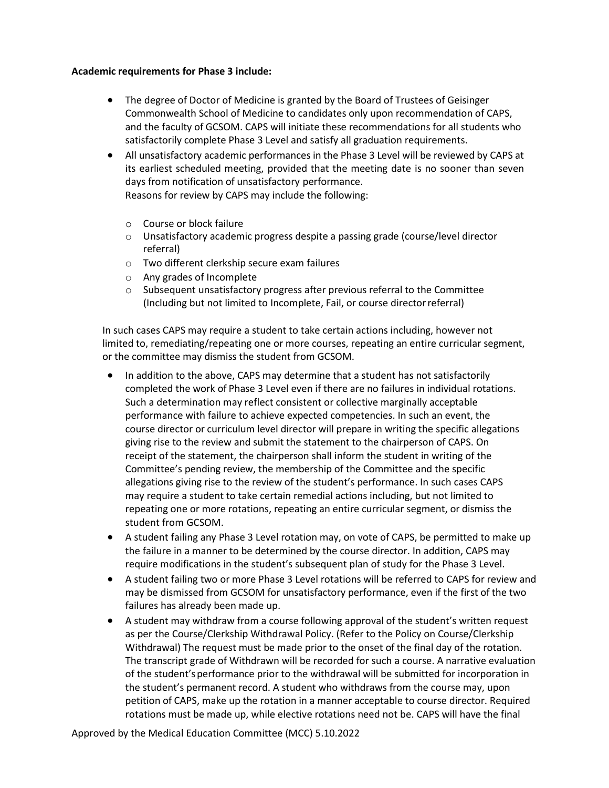## **Academic requirements for Phase 3 include:**

- The degree of Doctor of Medicine is granted by the Board of Trustees of Geisinger Commonwealth School of Medicine to candidates only upon recommendation of CAPS, and the faculty of GCSOM. CAPS will initiate these recommendations for all students who satisfactorily complete Phase 3 Level and satisfy all graduation requirements.
- All unsatisfactory academic performances in the Phase 3 Level will be reviewed by CAPS at its earliest scheduled meeting, provided that the meeting date is no sooner than seven days from notification of unsatisfactory performance.

Reasons for review by CAPS may include the following:

- o Course or block failure
- $\circ$  Unsatisfactory academic progress despite a passing grade (course/level director referral)
- o Two different clerkship secure exam failures
- o Any grades of Incomplete
- o Subsequent unsatisfactory progress after previous referral to the Committee (Including but not limited to Incomplete, Fail, or course directorreferral)

In such cases CAPS may require a student to take certain actions including, however not limited to, remediating/repeating one or more courses, repeating an entire curricular segment, or the committee may dismiss the student from GCSOM.

- In addition to the above, CAPS may determine that a student has not satisfactorily completed the work of Phase 3 Level even if there are no failures in individual rotations. Such a determination may reflect consistent or collective marginally acceptable performance with failure to achieve expected competencies. In such an event, the course director or curriculum level director will prepare in writing the specific allegations giving rise to the review and submit the statement to the chairperson of CAPS. On receipt of the statement, the chairperson shall inform the student in writing of the Committee's pending review, the membership of the Committee and the specific allegations giving rise to the review of the student's performance. In such cases CAPS may require a student to take certain remedial actions including, but not limited to repeating one or more rotations, repeating an entire curricular segment, or dismiss the student from GCSOM.
- A student failing any Phase 3 Level rotation may, on vote of CAPS, be permitted to make up the failure in a manner to be determined by the course director. In addition, CAPS may require modifications in the student's subsequent plan of study for the Phase 3 Level.
- A student failing two or more Phase 3 Level rotations will be referred to CAPS for review and may be dismissed from GCSOM for unsatisfactory performance, even if the first of the two failures has already been made up.
- A student may withdraw from a course following approval of the student's written request as per the Course/Clerkship Withdrawal Policy. (Refer to the Policy on Course/Clerkship Withdrawal) The request must be made prior to the onset of the final day of the rotation. The transcript grade of Withdrawn will be recorded for such a course. A narrative evaluation of the student'sperformance prior to the withdrawal will be submitted for incorporation in the student's permanent record. A student who withdraws from the course may, upon petition of CAPS, make up the rotation in a manner acceptable to course director. Required rotations must be made up, while elective rotations need not be. CAPS will have the final

Approved by the Medical Education Committee (MCC) 5.10.2022